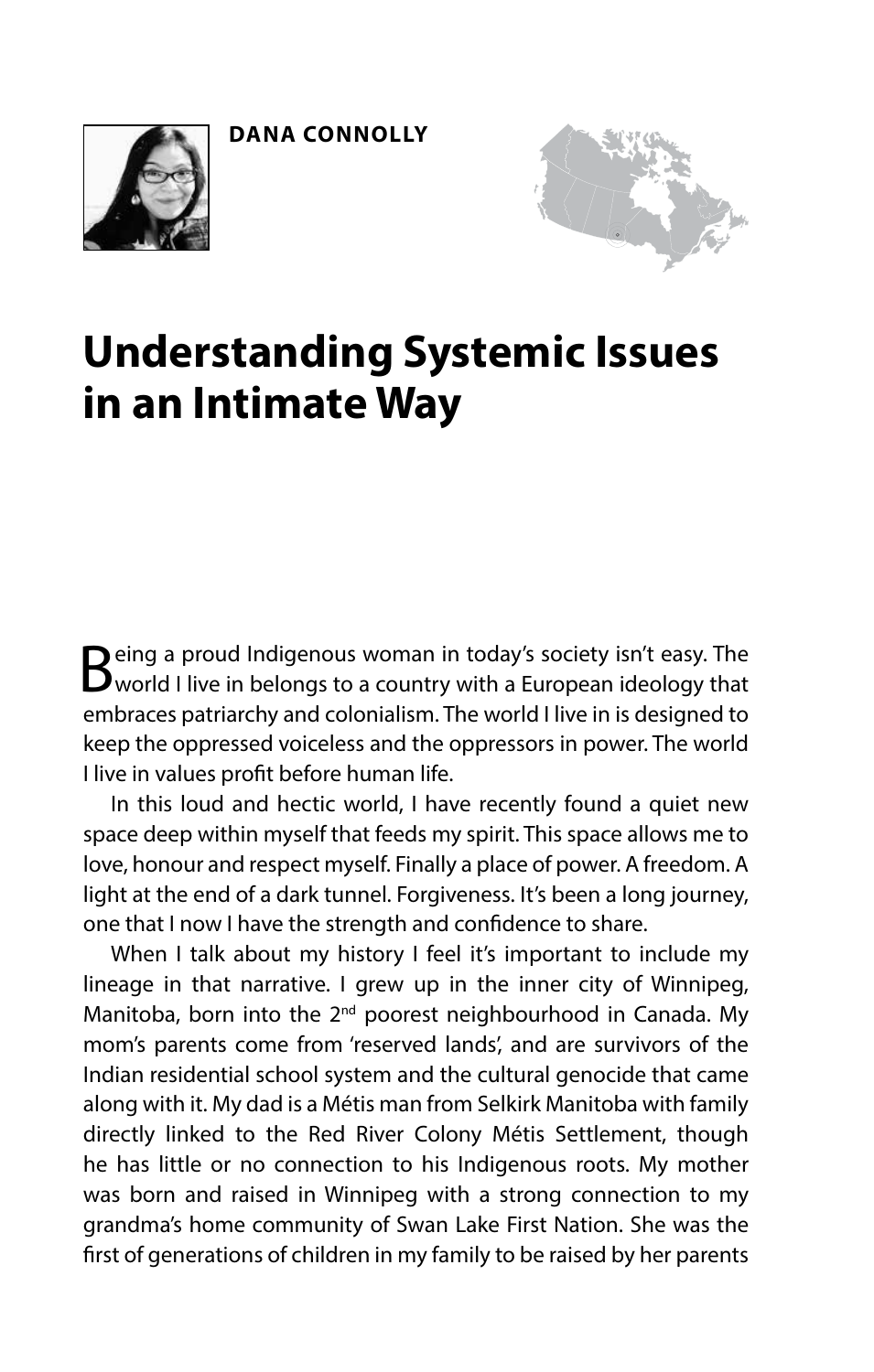



## **Understanding Systemic Issues in an Intimate Way**

Being a proud Indigenous woman in today's society isn't easy. The world I live in belongs to a country with a European ideology that embraces patriarchy and colonialism. The world I live in is designed to keep the oppressed voiceless and the oppressors in power. The world I live in values proft before human life.

In this loud and hectic world, I have recently found a quiet new space deep within myself that feeds my spirit. This space allows me to love, honour and respect myself. Finally a place of power. A freedom. A light at the end of a dark tunnel. Forgiveness. It's been a long journey, one that I now I have the strength and confdence to share.

When I talk about my history I feel it's important to include my lineage in that narrative. I grew up in the inner city of Winnipeg, Manitoba, born into the 2<sup>nd</sup> poorest neighbourhood in Canada. My mom's parents come from 'reserved lands', and are survivors of the Indian residential school system and the cultural genocide that came along with it. My dad is a Métis man from Selkirk Manitoba with family directly linked to the Red River Colony Métis Settlement, though he has little or no connection to his Indigenous roots. My mother was born and raised in Winnipeg with a strong connection to my grandma's home community of Swan Lake First Nation. She was the frst of generations of children in my family to be raised by her parents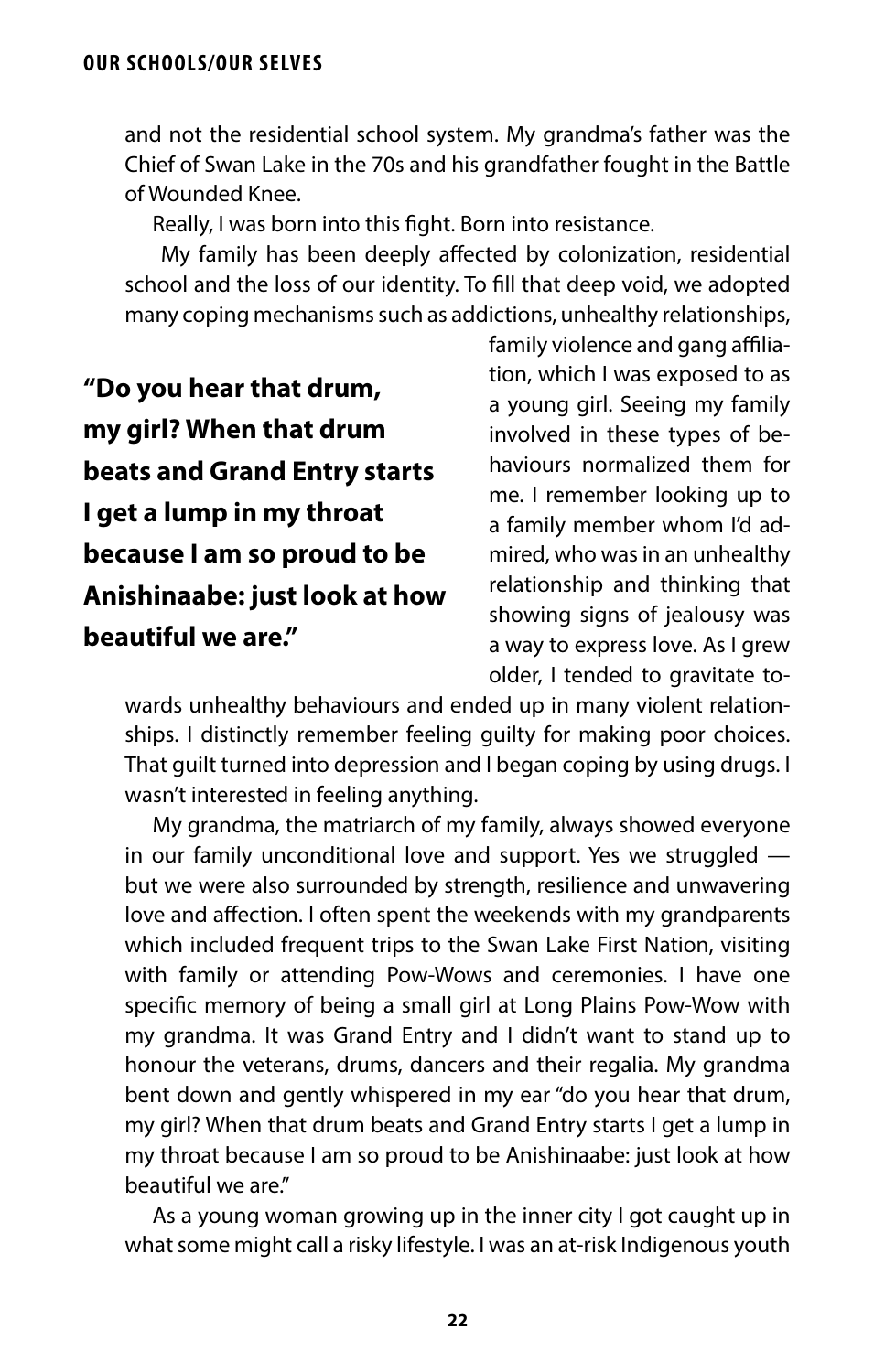and not the residential school system. My grandma's father was the Chief of Swan Lake in the 70s and his grandfather fought in the Battle of Wounded Knee.

Really, I was born into this fght. Born into resistance.

 My family has been deeply afected by colonization, residential school and the loss of our identity. To fll that deep void, we adopted many coping mechanisms such as addictions, unhealthy relationships,

**"Do you hear that drum, my girl? When that drum beats and Grand Entry starts I get a lump in my throat because I am so proud to be Anishinaabe: just look at how beautiful we are."**

family violence and gang affiliation, which I was exposed to as a young girl. Seeing my family involved in these types of behaviours normalized them for me. I remember looking up to a family member whom I'd admired, who was in an unhealthy relationship and thinking that showing signs of jealousy was a way to express love. As I grew older, I tended to gravitate to-

wards unhealthy behaviours and ended up in many violent relationships. I distinctly remember feeling guilty for making poor choices. That guilt turned into depression and I began coping by using drugs. I wasn't interested in feeling anything.

My grandma, the matriarch of my family, always showed everyone in our family unconditional love and support. Yes we struggled but we were also surrounded by strength, resilience and unwavering love and afection. I often spent the weekends with my grandparents which included frequent trips to the Swan Lake First Nation, visiting with family or attending Pow-Wows and ceremonies. I have one specifc memory of being a small girl at Long Plains Pow-Wow with my grandma. It was Grand Entry and I didn't want to stand up to honour the veterans, drums, dancers and their regalia. My grandma bent down and gently whispered in my ear "do you hear that drum, my girl? When that drum beats and Grand Entry starts I get a lump in my throat because I am so proud to be Anishinaabe: just look at how beautiful we are."

As a young woman growing up in the inner city I got caught up in what some might call a risky lifestyle. I was an at-risk Indigenous youth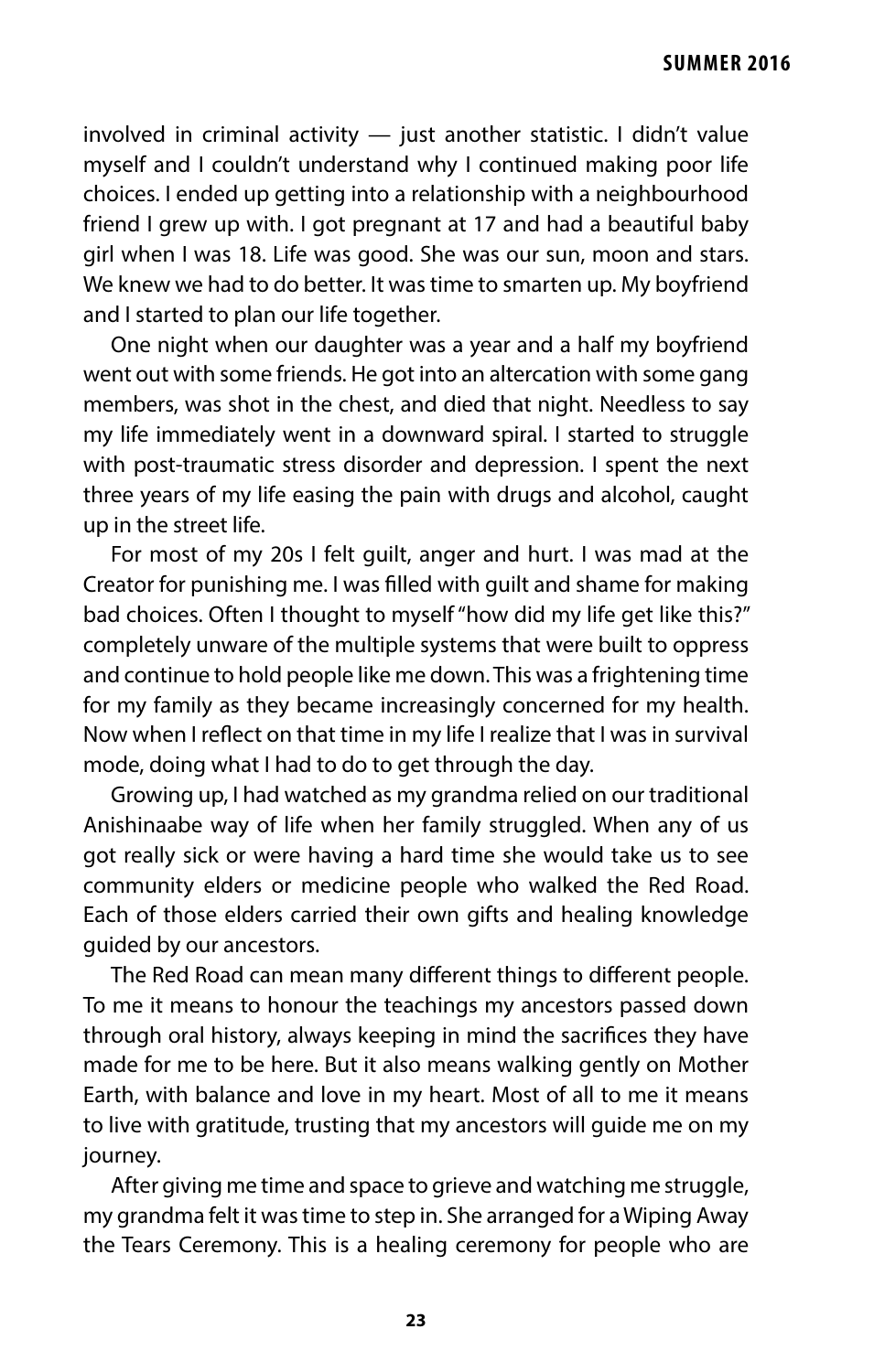involved in criminal activity — just another statistic. I didn't value myself and I couldn't understand why I continued making poor life choices. I ended up getting into a relationship with a neighbourhood friend I grew up with. I got pregnant at 17 and had a beautiful baby girl when I was 18. Life was good. She was our sun, moon and stars. We knew we had to do better. It was time to smarten up. My boyfriend and I started to plan our life together.

One night when our daughter was a year and a half my boyfriend went out with some friends. He got into an altercation with some gang members, was shot in the chest, and died that night. Needless to say my life immediately went in a downward spiral. I started to struggle with post-traumatic stress disorder and depression. I spent the next three years of my life easing the pain with drugs and alcohol, caught up in the street life.

For most of my 20s I felt guilt, anger and hurt. I was mad at the Creator for punishing me. I was flled with guilt and shame for making bad choices. Often I thought to myself "how did my life get like this?" completely unware of the multiple systems that were built to oppress and continue to hold people like me down. This was a frightening time for my family as they became increasingly concerned for my health. Now when I refect on that time in my life I realize that I was in survival mode, doing what I had to do to get through the day.

Growing up, I had watched as my grandma relied on our traditional Anishinaabe way of life when her family struggled. When any of us got really sick or were having a hard time she would take us to see community elders or medicine people who walked the Red Road. Each of those elders carried their own gifts and healing knowledge guided by our ancestors.

The Red Road can mean many diferent things to diferent people. To me it means to honour the teachings my ancestors passed down through oral history, always keeping in mind the sacrifces they have made for me to be here. But it also means walking gently on Mother Earth, with balance and love in my heart. Most of all to me it means to live with gratitude, trusting that my ancestors will guide me on my journey.

After giving me time and space to grieve and watching me struggle, my grandma felt it was time to step in. She arranged for a Wiping Away the Tears Ceremony. This is a healing ceremony for people who are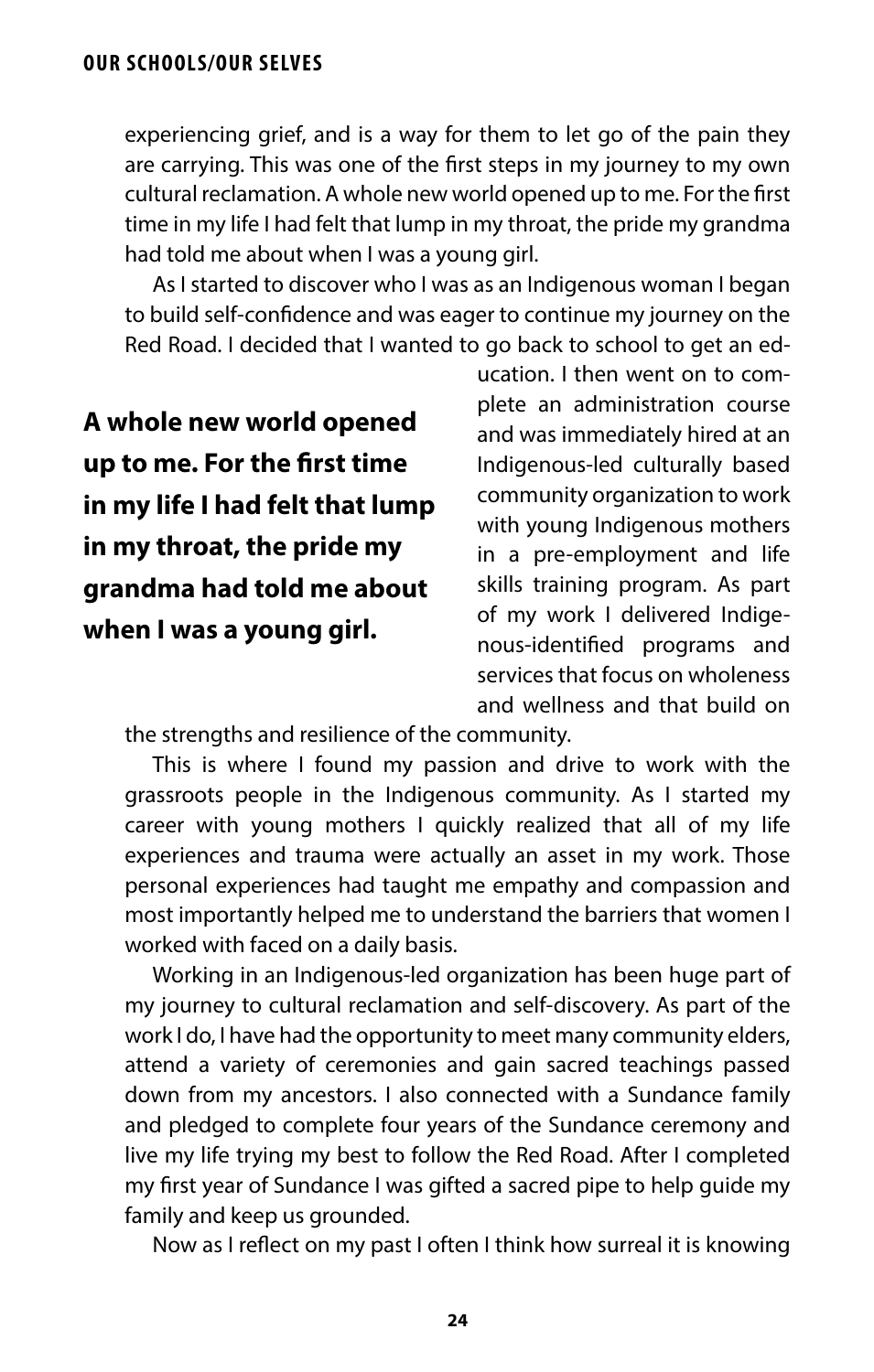experiencing grief, and is a way for them to let go of the pain they are carrying. This was one of the frst steps in my journey to my own cultural reclamation. A whole new world opened up to me. For the frst time in my life I had felt that lump in my throat, the pride my grandma had told me about when I was a young girl.

As I started to discover who I was as an Indigenous woman I began to build self-confdence and was eager to continue my journey on the Red Road. I decided that I wanted to go back to school to get an ed-

**A whole new world opened up to me. For the frst time in my life I had felt that lump in my throat, the pride my grandma had told me about when I was a young girl.**

ucation. I then went on to complete an administration course and was immediately hired at an Indigenous-led culturally based community organization to work with young Indigenous mothers in a pre-employment and life skills training program. As part of my work I delivered Indiaenous-identifed programs and services that focus on wholeness and wellness and that build on

the strengths and resilience of the community.

This is where I found my passion and drive to work with the grassroots people in the Indigenous community. As I started my career with young mothers I quickly realized that all of my life experiences and trauma were actually an asset in my work. Those personal experiences had taught me empathy and compassion and most importantly helped me to understand the barriers that women I worked with faced on a daily basis.

Working in an Indigenous-led organization has been huge part of my journey to cultural reclamation and self-discovery. As part of the work I do, I have had the opportunity to meet many community elders, attend a variety of ceremonies and gain sacred teachings passed down from my ancestors. I also connected with a Sundance family and pledged to complete four years of the Sundance ceremony and live my life trying my best to follow the Red Road. After I completed my frst year of Sundance I was gifted a sacred pipe to help guide my family and keep us grounded.

Now as I refect on my past I often I think how surreal it is knowing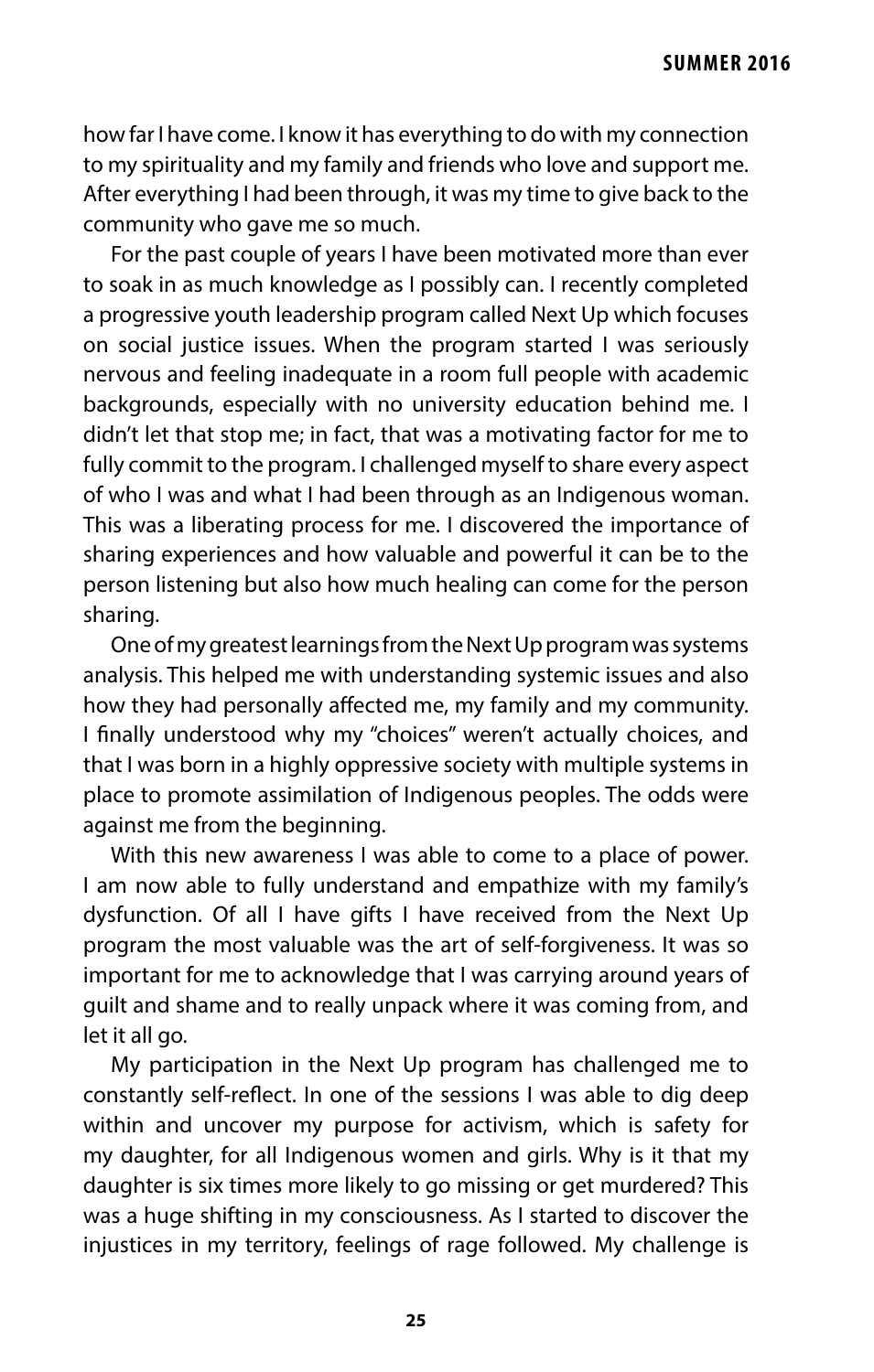how far I have come. I know it has everything to do with my connection to my spirituality and my family and friends who love and support me. After everything I had been through, it was my time to give back to the community who gave me so much.

For the past couple of years I have been motivated more than ever to soak in as much knowledge as I possibly can. I recently completed a progressive youth leadership program called Next Up which focuses on social justice issues. When the program started I was seriously nervous and feeling inadequate in a room full people with academic backgrounds, especially with no university education behind me. I didn't let that stop me; in fact, that was a motivating factor for me to fully commit to the program. I challenged myself to share every aspect of who I was and what I had been through as an Indigenous woman. This was a liberating process for me. I discovered the importance of sharing experiences and how valuable and powerful it can be to the person listening but also how much healing can come for the person sharing.

One of my greatest learnings from the Next Up program was systems analysis. This helped me with understanding systemic issues and also how they had personally affected me, my family and my community. I fnally understood why my "choices" weren't actually choices, and that I was born in a highly oppressive society with multiple systems in place to promote assimilation of Indigenous peoples. The odds were against me from the beginning.

With this new awareness I was able to come to a place of power. I am now able to fully understand and empathize with my family's dysfunction. Of all I have gifts I have received from the Next Up program the most valuable was the art of self-forgiveness. It was so important for me to acknowledge that I was carrying around years of guilt and shame and to really unpack where it was coming from, and let it all go.

My participation in the Next Up program has challenged me to constantly self-refect. In one of the sessions I was able to dig deep within and uncover my purpose for activism, which is safety for my daughter, for all Indigenous women and girls. Why is it that my daughter is six times more likely to go missing or get murdered? This was a huge shifting in my consciousness. As I started to discover the injustices in my territory, feelings of rage followed. My challenge is